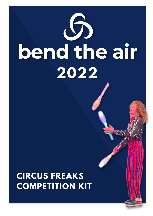

# **CIRCUS FREAKS COMPETITION KIT**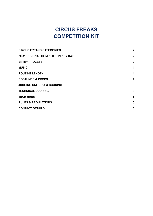## **CIRCUS FREAKS COMPETITION KIT**

| <b>CIRCUS FREAKS CATEGORIES</b>            | $\overline{2}$ |
|--------------------------------------------|----------------|
| <b>2022 REGIONAL COMPETITION KEY DATES</b> | $\mathbf{2}$   |
| <b>ENTRY PROCESS</b>                       | $\overline{2}$ |
| <b>MUSIC</b>                               | 4              |
| <b>ROUTINE LENGTH</b>                      | 4              |
| <b>COSTUMES &amp; PROPS</b>                | 4              |
| <b>JUDGING CRITERIA &amp; SCORING</b>      | 5              |
| <b>TECHNICAL SCORING</b>                   | 6              |
| <b>TECH RUNS</b>                           | 6              |
| <b>RULES &amp; REGULATIONS</b>             | 6              |
| <b>CONTACT DETAILS</b>                     | 8              |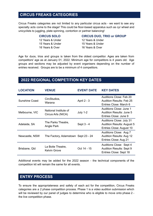## <span id="page-2-0"></span>**CIRCUS FREAKS CATEGORIES**

Circus Freaks categories are not limited to any particular circus acts - we want to see any specialty acts come to the stage! This could be floor-based apparatus such as cyr wheel and unicyclists to juggling, plate spinning, contortion or partner balancing!

#### **CIRCUS SOLO**

12 Years & Under 15 Years & Under 16 Years & Over

**CIRCUS DUO, TRIO or GROUP** 12 Years & Under 15 Years & Under

16 Years & Over

Age for duos, trios and groups is taken from the oldest competitor. Ages are taken from competitors' age as at January 01, 2022. Minimum age for competitors is 4 years old. Age groups and sections may be adjusted by event organisers depending on the number of entries received. Groups are to be a minimum of 4 competitors.

## <span id="page-2-1"></span>**2022 REGIONAL COMPETITION KEY DATES**

| <b>LOCATION</b>       | <b>VENUE</b>                                | <b>EVENT DATE</b> | <b>KEY DATES</b>                                                                          |
|-----------------------|---------------------------------------------|-------------------|-------------------------------------------------------------------------------------------|
| <b>Sunshine Coast</b> | CircStudios,<br>Warana                      | April 2 - 3       | Auditions Close: Feb 20<br><b>Audition Results: Feb 25</b><br>Entries Close: March 6      |
| Melbourne, VIC        | National Institute of<br>Circus Arts (NICA) | <b>July 1-2</b>   | Auditions Close: June 1<br>Audition Results: June 5<br>Entries Close: June 9              |
| Adelaide, SA          | The Parks Theatre,<br>Angle Park            | Sept 3 - 4        | Auditions Close: July 31<br><b>Audition Results: August 5</b><br>Entries Close: August 10 |
| Newcastle, NSW        | The Factory, Adamstown Sept 23 - 24         |                   | Auditions Close: Aug 7<br>Audition Results: Aug 12<br>Entries Close: Aug 21               |
| Brisbane, Qld         | La Boite Theatre,<br><b>Kelvin Grove</b>    | Oct 14 - 15       | Auditions Close: Sept 4<br><b>Audition Results: Sept 9</b><br>Entries Close: Sept 18      |

Additional events may be added for the 2022 season - the technical components of the competition kit will remain the same for all events.

## <span id="page-2-2"></span>**ENTRY PROCESS**

To ensure the appropriateness and safety of each act for the competition, Circus Freaks categories are a 2 phase competition process. Phase 1 is a video audition submission which will be reviewed by our panel of judges to determine who is eligible to move onto phase 2 the live competition phase.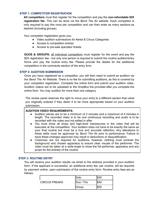#### **STEP 1: COMPETITOR REGISTRATION**

**All competitors** must first register for the competition and pay the **non-refundable \$25 registration fee**. This can be done via the *Bend The Air* website. Each competitor is only required to pay this once per competition and can then enter as many sections as desired (including groups).

Your competitor registration gives you:

- Video audition submissions for Aerial & Circus Categories
- Access to competition entries
- Access to pre-sale spectator tickets

**DUOS & GROUPS:** all individual competitors must register for the event and pay the \$25 registration fee - but only one person is required to submit the routine audition/entry forms and pay the routine entry fee. Please provide the details for the additional competitors in the comments section of the entry form.

#### **STEP 2: AUDITION SUBMISSION**

Once you have registered as a competitor, you will then need to submit an audition via the *Bend The Air* Website. There is no fee for submitting auditions, as this is covered by your competitor registration. Complete the online form and submit your audition video. Audition videos are to be uploaded to the DropBox link provided after you complete the online form. You may audition for more than one category.

The review panel reserves the right to move your entry to a different section than what you originally entered if they deem it to be more appropriate based on your audition submission.

#### **AUDITION VIDEO REQUIREMENTS:**

- Audition pieces are to be a minimum of 2 minutes and a maximum of 4 minutes in length. The recorded video is to be one continuous recording and audio is to be recorded with the video and not edited in after.
- You must show all drops and high-level manoeuvres in the video that will be executed at the competition. Your audition does not have to be exactly the same as your final routine but must be a true and accurate reflection. Any alterations to these skills must be approved by *Bend The Air* prior to performance. Failure to have these changes approved may result in deductions or disqualification.
- Costumes are not required for auditions, however, clothing must contrast the background and chosen apparatus to ensure clear visuals of the performer. The video must be taken at a wide-angle to show the full performer, apparatus and any props for the entirety of the routine.

#### **STEP 3: ROUTINE ENTRY**

You will receive your audition results via email to the address provided in your audition form. If the applicant is successful, an additional entry fee, per routine, will be required by payment online, upon submission of the routine entry form. Routine entry fees are as follows:

|                      | <b>Solo</b> | \$30 |
|----------------------|-------------|------|
| <b>CIRCUS FREAKS</b> | Duo / Trio  | \$40 |
|                      | Group       | \$50 |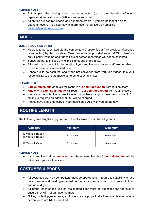#### **PLEASE NOTE:**

- Entries past the closing date may be accepted (up to the discretion of event organisers) and will incur a \$20 late submission fee.
- All entries are non refundable and non transferable. If you are no longer able to attend an event, it is a courtesy to inform event organisers by emailing [contact@bendtheair.com.au](mailto:contact@bendtheair.com.au)

## <span id="page-4-0"></span>**MUSIC**

#### **MUSIC REQUIREMENTS:**

- Music is to be submitted via the competitors Dropbox folder (link provided after entry is submitted) by the due date. Music file is to be provided as an MP.3 or WAV file only. Spotify, Youtube and Itunes links or screen recordings will not be accepted.
- Songs are not to include any explicit language or profanity.
- All music must be cut to the length of your routine our event staff are not able to fade the music at a requested time.
- Songs are to be acquired legally and not converted from YouTube videos. It is your responsibility to ensure music adheres to copyright laws.

#### **PLEASE NOTE:**

- **Late submissions** of music will result in a **2 point deduction** from routine score.
- **Music with explicit language** will result in a **2 point deduction** from routine score.
- If music is not submitted correctly, event organisers can purchase the song for \$15. If cutting is required an additional \$50 will be charged.
- Please have a backup copy of your music on a USB with you on the day.

## <span id="page-4-1"></span>**ROUTINE LENGTH**

The following time lengths apply to Circus Freaks solos, duos, Trios & groups

| Category                             | <b>Minimum</b> | <b>Maximum</b> |
|--------------------------------------|----------------|----------------|
| 12 Years & Under<br>15 Years & Under | 2 minutes      | 4 minutes      |
| 16 Years & Over                      | 3 minutes      | 5 minutes      |

#### **PLEASE NOTE:**

● If your routine is either **under or over** the required length a **2 point deduction** will be taken from your routine score.

## <span id="page-4-2"></span>**COSTUMES & PROPS**

- All costumes worn by competitors must be appropriate in regard to suitability for use on apparatus and meeting expected performance standards (e.g. no loose or ill-fitting and no nudity).
- All props for intended use on the matted floor must be submitted for approval to ensure they will not damage the mats.
- Glitter, confetti, pyrotechnics, explosives or any props that will require cleaning after a performance are **NOT** permitted.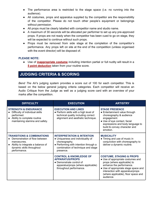- The performance area is restricted to the stage space (i.e. no running into the audience).
- All costumes, props and apparatus supplied by the competitor are the responsibility of the competitor. Please do not touch other people's equipment or belongings without permission.
- All props must be clearly labelled with competitor name and studio name.
- A maximum of 30 seconds will be allocated per performer to set up any pre-approved props. If props are not ready when the competitor has been cued to go on stage, they will be expected to continue without such props.
- Props must be removed from side stage at the completion of the competitor's performance. Any props left on site at the end of the competition (unless organised with the event director) will be disposed of.

#### **PLEASE NOTE:**

● Use of **inappropriate costume** including intention partial or full nudity will result in a **5 point deduction** taken from your routine score.

### <span id="page-5-0"></span>**JUDGING CRITERIA & SCORING**

*Bend The Air*'s judging system provides a score out of 100 for each competitor. This is based on the below general judging criteria categories. Each competitor will receive an Audio Critique from the Judge as well as a judging score card with an overview of your marks after the competition.

| <b>DIFFICULTY</b>                                                                                                                                                       | <b>EXECUTION</b>                                                                                                                                                                        | <b>ARTISTRY</b>                                                                                                                                                                                                                                                     |
|-------------------------------------------------------------------------------------------------------------------------------------------------------------------------|-----------------------------------------------------------------------------------------------------------------------------------------------------------------------------------------|---------------------------------------------------------------------------------------------------------------------------------------------------------------------------------------------------------------------------------------------------------------------|
| <b>STRENGTH &amp; ENDURANCE</b><br>Difficulty of individual skills<br>performed.<br>Ability to complete routine<br>maintaining stamina and safety.                      | <b>EXECUTION AND LINES</b><br>• Perform skills with a high level of<br>technical quality including correct<br>alignment and aesthetic technique.                                        | <b>STAGE PRESENCE</b><br>• Entertainment value through<br>choreography & audience<br>engagement.<br>• Use of eye contact, facial<br>expressions and body language to<br>build & convey character and<br>emotion.                                                    |
| <b>TRANSITIONS &amp; COMBINATIONS</b><br>Demonstration of flow between<br>manoeuvres.<br>Ability to integrate a balance of<br>dynamic skills throughout<br>performance. | <b>INTERPRETATION &amp; INTENTION</b><br>• Uniqueness and individuality of<br>choreography.<br>• Performing with intention through a<br>combination of technique and stage<br>presence. | <b>MUSICALITY</b><br>• Timing and use of music in<br>conjunction with choreography to<br>deliver a dynamic routine.                                                                                                                                                 |
|                                                                                                                                                                         | <b>CONTROL &amp; KNOWLEDGE OF</b><br><b>APPARATUS/PROPS</b><br>• Demonstrate control of<br>apparatus/props (where applicable)<br>throughout performance.                                | <b>COSTUME, STAGING &amp; PROPS</b><br>• Use of appropriate costumes and<br>props (where applicable) to<br>enhance the performance.<br>• Use of appropriate stage space and<br>interaction with apparatus/props<br>(where applicable), floor space and<br>audience. |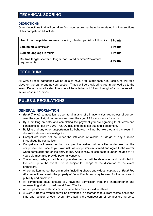## <span id="page-6-0"></span>**TECHNICAL SCORING**

#### **DEDUCTIONS**

Other deductions that will be taken from your score that have been stated in other sections of this competition kit include:

| Use of <b>inappropriate costume</b> including intention partial or full nudity | 5 Points |
|--------------------------------------------------------------------------------|----------|
| <b>Late music submission</b>                                                   | 2 Points |
| <b>Explicit language in music</b>                                              | 2 Points |
| Routine length shorter or longer than stated minimum/maximum<br>requirements   | 2 Points |

## <span id="page-6-1"></span>**TECH RUNS**

All Circus Freak categories will be able to have a full stage tech run. Tech runs will take place on the same day as your section. Times will be provided to you in the lead up to the event. During your allocated time you will be able to do 1 full run through of your routine with music, costume & props.

## <span id="page-6-2"></span>**RULES & REGULATIONS**

#### **GENERAL INFORMATION**

- *Bend The Air* competition is open to all artists, of all nationalities, regardless of gender, over the age of eight, for aerials and over the age of 4 for acrobatics & circus.
- By submitting an entry and completing the payment you are agreeing to all terms and conditions set out by *Bend The Air*, including those set out in this document.
- Bullying and any other unsportsmanlike behaviour will not be tolerated and can result in disqualification upon investigation.
- Competitors must not be under the influence of alcohol or drugs at any duration throughout the competition.
- Competitors acknowledge that, as per the waiver, all activities undertaken at the competition are done at your own risk. All competitors must read and agree to the waiver when completing the online entry forms. Additionally, all competitors under the age of 18 years old must also provide parental consent.
- The running order, schedule and printable program will be developed and distributed in the lead up to the event. This is subject to change at the discretion of the event organisers.
- All competitors agree that any media (including photos and videos) captured at *Bend The Air* competitions remain the property of *Bend The Air* and may be used for the purpose of publicity and promotion.
- All competitors must ensure you have the permission from the choreographer and representing studio to perform at *Bend The Air*.
- All competitors and studios must provide their own first aid facilitates.
- A COVID-19 safe event plan will be developed in accordance to current restrictions in the time and location of each event. By entering the competition, all competitors agree to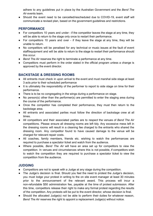adhere to any guidelines put in place by the Australian Government and the *Bend The Air* events team.

● Should the event need to be cancelled/rescheduled due to COVID-19, event staff will communicate a revised plan, based on the government guidelines and restrictions.

#### **PERFORMANCE**

- For competitors 10 years and under if the competitor leaves the stage at any time, they will be able to return to the stage only once to restart their performance.
- For competitors 10 years and over if they leave the stage at any time, they will be unable to return.
- No competitors will be penalised for any technical or music issues at the fault of event staff/equipment and will be able to return to the stage to restart their performance should this occur.
- *Bend The Air* reserves the right to terminate a performance at any time.
- Competitors must perform in the order stated in the official program unless a change is approved by the event director.

#### **BACKSTAGE & DRESSING ROOMS**

- All entrants must check in upon arrival to the event and must marshal side stage at least 3 acts prior to their scheduled performance
- It is ultimately the responsibility of the performer to report to side stage on time for their performance.
- There is to be no congregating in the wings during a performance on stage.
- No person(s) other than the performer(s) are permitted to enter the staging area during the course of the performance.
- Once the competitor has completed their performance, they must then return to the backstage area.
- All entrants and associated parties must follow the direction of backstage crew at all times.
- All competitors and their associated parties are to respect the venues of *Bend The Air* competitions. Please ensure all dressing rooms are left tidy. Any excessive mess left in the dressing rooms will result in a cleaning fee charged to the entrants who shared the dressing room. Any competitor found to have caused damage to the venue will be charged for relevant repair costs.
- All coaches, family members, friends etc. wishing to watch the performances are required to purchase a spectator ticket and watch from the audience.
- Where possible, *Bend The Air* will have an area set up for competitors to view the competition. In venues and circumstances where this is not possible, if competitors wish to watch the competition they are required to purchase a spectator ticket to view the competition from the audience.

#### **JUDGING**

- Competitors are not to speak with a Judge at any stage during the competition.
- The Judge's decision is final. Should you feel the need to protest the Judge's decision, you must lodge your protest in writing to the on site event manager at least 30 minutes prior to the announcement of the relevant award. This process will incur a non-refundable \$50 administration fee, payable at the time of protest submission. After this time, competitors release their right to make any formal protest regarding the results of the competition. Any protests will be put to the event director, whose decision is final.
- Should the allocated Judge(s) not be able to perform their duties for whatever reason, *Bend The Air* reserves the right to appoint a replacement Judge(s) without notice.